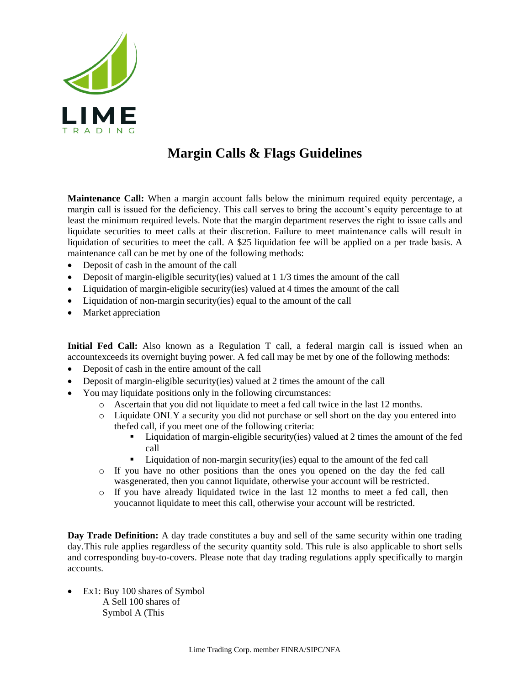

## **Margin Calls & Flags Guidelines**

**Maintenance Call:** When a margin account falls below the minimum required equity percentage, a margin call is issued for the deficiency. This call serves to bring the account's equity percentage to at least the minimum required levels. Note that the margin department reserves the right to issue calls and liquidate securities to meet calls at their discretion. Failure to meet maintenance calls will result in liquidation of securities to meet the call. A \$25 liquidation fee will be applied on a per trade basis. A maintenance call can be met by one of the following methods:

- Deposit of cash in the amount of the call
- Deposit of margin-eligible security(ies) valued at  $1/3$  times the amount of the call
- Liquidation of margin-eligible security(ies) valued at 4 times the amount of the call
- Liquidation of non-margin security(ies) equal to the amount of the call
- Market appreciation

**Initial Fed Call:** Also known as a Regulation T call, a federal margin call is issued when an accountexceeds its overnight buying power. A fed call may be met by one of the following methods:

- Deposit of cash in the entire amount of the call
- Deposit of margin-eligible security(ies) valued at 2 times the amount of the call
- You may liquidate positions only in the following circumstances:
	- o Ascertain that you did not liquidate to meet a fed call twice in the last 12 months.
	- o Liquidate ONLY a security you did not purchase or sell short on the day you entered into thefed call, if you meet one of the following criteria:
		- **Exercise 1** Liquidation of margin-eligible security(ies) valued at 2 times the amount of the fed call
		- Liquidation of non-margin security(ies) equal to the amount of the fed call
	- o If you have no other positions than the ones you opened on the day the fed call wasgenerated, then you cannot liquidate, otherwise your account will be restricted.
	- $\circ$  If you have already liquidated twice in the last 12 months to meet a fed call, then youcannot liquidate to meet this call, otherwise your account will be restricted.

**Day Trade Definition:** A day trade constitutes a buy and sell of the same security within one trading day.This rule applies regardless of the security quantity sold. This rule is also applicable to short sells and corresponding buy-to-covers. Please note that day trading regulations apply specifically to margin accounts.

• Ex1: Buy 100 shares of Symbol A Sell 100 shares of Symbol A (This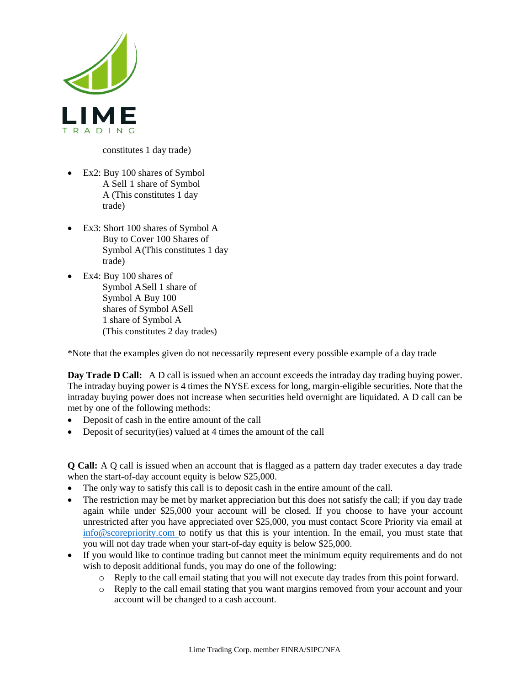

constitutes 1 day trade)

- Ex2: Buy 100 shares of Symbol A Sell 1 share of Symbol A (This constitutes 1 day trade)
- Ex3: Short 100 shares of Symbol A Buy to Cover 100 Shares of Symbol A(This constitutes 1 day trade)
- Ex4: Buy 100 shares of Symbol ASell 1 share of Symbol A Buy 100 shares of Symbol ASell 1 share of Symbol A (This constitutes 2 day trades)

\*Note that the examples given do not necessarily represent every possible example of a day trade

**Day Trade D Call:** A D call is issued when an account exceeds the intraday day trading buying power. The intraday buying power is 4 times the NYSE excess for long, margin-eligible securities. Note that the intraday buying power does not increase when securities held overnight are liquidated. A D call can be met by one of the following methods:

- Deposit of cash in the entire amount of the call
- Deposit of security(ies) valued at 4 times the amount of the call

**Q Call:** A Q call is issued when an account that is flagged as a pattern day trader executes a day trade when the start-of-day account equity is below \$25,000.

- The only way to satisfy this call is to deposit cash in the entire amount of the call.
- The restriction may be met by market appreciation but this does not satisfy the call; if you day trade again while under \$25,000 your account will be closed. If you choose to have your account unrestricted after you have appreciated over \$25,000, you must contact Score Priority via email at [info@scorepriority.com](mailto:info@scorepriority.com) to notify us that this is your intention. In the email, you must state that you will not day trade when your start-of-day equity is below \$25,000.
- If you would like to continue trading but cannot meet the minimum equity requirements and do not wish to deposit additional funds, you may do one of the following:
	- o Reply to the call email stating that you will not execute day trades from this point forward.
	- o Reply to the call email stating that you want margins removed from your account and your account will be changed to a cash account.